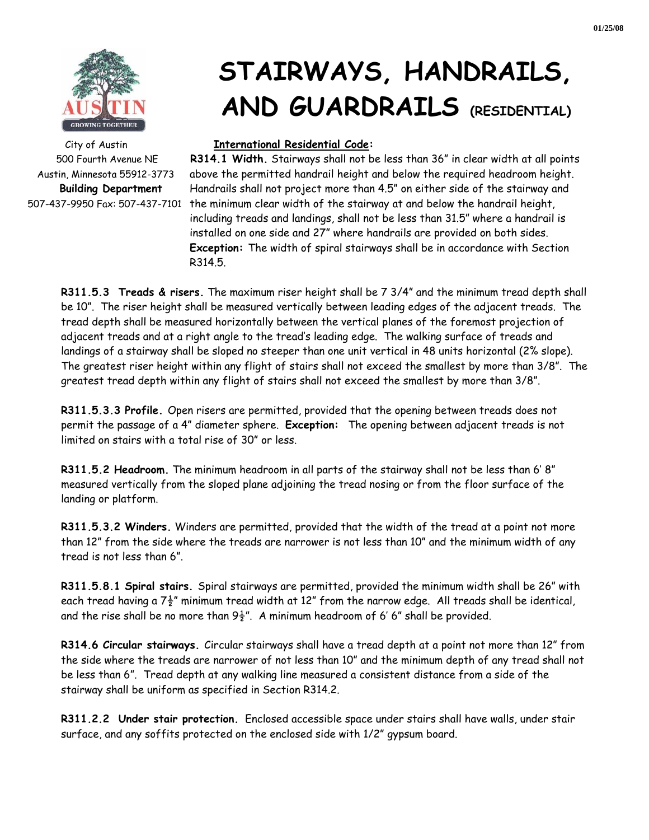

# **STAIRWAYS, HANDRAILS, AND GUARDRAILS (RESIDENTIAL)**

#### City of Austin **International Residential Code:**

500 Fourth Avenue NE **R314.1 Width.** Stairways shall not be less than 36" in clear width at all points Austin, Minnesota 55912-3773 above the permitted handrail height and below the required headroom height. **Building Department** Handrails shall not project more than 4.5" on either side of the stairway and 507-437-9950 Fax: 507-437-7101 the minimum clear width of the stairway at and below the handrail height, including treads and landings, shall not be less than 31.5" where a handrail is installed on one side and 27" where handrails are provided on both sides. **Exception:** The width of spiral stairways shall be in accordance with Section R314.5.

**R311.5.3 Treads & risers.** The maximum riser height shall be 7 3/4" and the minimum tread depth shall be 10". The riser height shall be measured vertically between leading edges of the adjacent treads. The tread depth shall be measured horizontally between the vertical planes of the foremost projection of adjacent treads and at a right angle to the tread's leading edge. The walking surface of treads and landings of a stairway shall be sloped no steeper than one unit vertical in 48 units horizontal (2% slope). The greatest riser height within any flight of stairs shall not exceed the smallest by more than 3/8". The greatest tread depth within any flight of stairs shall not exceed the smallest by more than 3/8".

**R311.5.3.3 Profile.** Open risers are permitted, provided that the opening between treads does not permit the passage of a 4" diameter sphere. **Exception:** The opening between adjacent treads is not limited on stairs with a total rise of 30" or less.

**R311.5.2 Headroom.** The minimum headroom in all parts of the stairway shall not be less than 6' 8" measured vertically from the sloped plane adjoining the tread nosing or from the floor surface of the landing or platform.

**R311.5.3.2 Winders.** Winders are permitted, provided that the width of the tread at a point not more than 12" from the side where the treads are narrower is not less than 10" and the minimum width of any tread is not less than 6".

**R311.5.8.1 Spiral stairs.** Spiral stairways are permitted, provided the minimum width shall be 26" with each tread having a  $7\frac{1}{2}$ " minimum tread width at 12" from the narrow edge. All treads shall be identical, and the rise shall be no more than  $9\frac{1}{2}$ ". A minimum headroom of 6' 6" shall be provided.

**R314.6 Circular stairways.** Circular stairways shall have a tread depth at a point not more than 12" from the side where the treads are narrower of not less than 10" and the minimum depth of any tread shall not be less than 6". Tread depth at any walking line measured a consistent distance from a side of the stairway shall be uniform as specified in Section R314.2.

**R311.2.2 Under stair protection.** Enclosed accessible space under stairs shall have walls, under stair surface, and any soffits protected on the enclosed side with 1/2" gypsum board.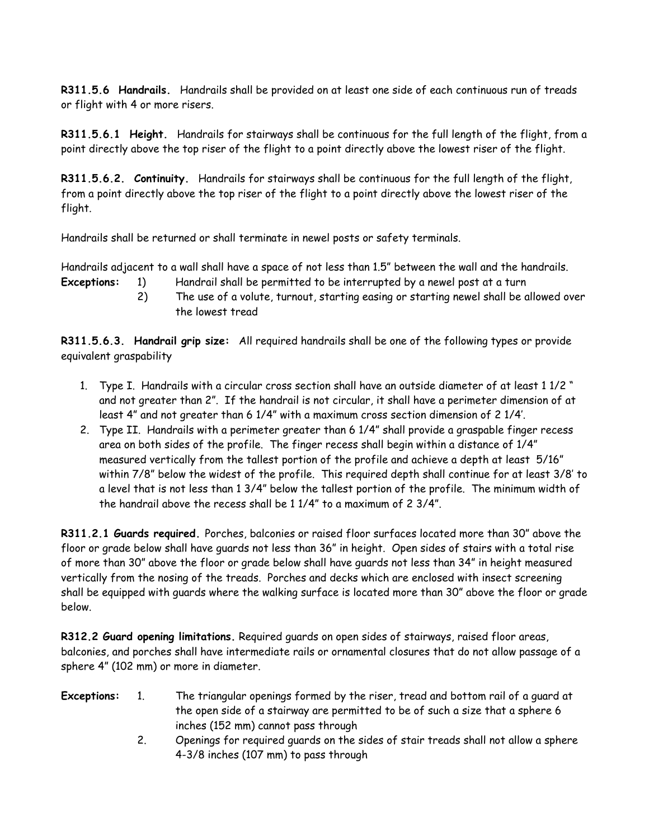**R311.5.6 Handrails.** Handrails shall be provided on at least one side of each continuous run of treads or flight with 4 or more risers.

**R311.5.6.1 Height.** Handrails for stairways shall be continuous for the full length of the flight, from a point directly above the top riser of the flight to a point directly above the lowest riser of the flight.

**R311.5.6.2. Continuity.** Handrails for stairways shall be continuous for the full length of the flight, from a point directly above the top riser of the flight to a point directly above the lowest riser of the flight.

Handrails shall be returned or shall terminate in newel posts or safety terminals.

Handrails adjacent to a wall shall have a space of not less than 1.5" between the wall and the handrails. **Exceptions:** 1) Handrail shall be permitted to be interrupted by a newel post at a turn

- - 2) The use of a volute, turnout, starting easing or starting newel shall be allowed over the lowest tread

**R311.5.6.3. Handrail grip size:** All required handrails shall be one of the following types or provide equivalent graspability

- 1. Type I. Handrails with a circular cross section shall have an outside diameter of at least 1 1/2 " and not greater than 2". If the handrail is not circular, it shall have a perimeter dimension of at least 4" and not greater than 6 1/4" with a maximum cross section dimension of 2 1/4'.
- 2. Type II. Handrails with a perimeter greater than 6 1/4" shall provide a graspable finger recess area on both sides of the profile. The finger recess shall begin within a distance of 1/4" measured vertically from the tallest portion of the profile and achieve a depth at least 5/16" within 7/8" below the widest of the profile. This required depth shall continue for at least 3/8' to a level that is not less than 1 3/4" below the tallest portion of the profile. The minimum width of the handrail above the recess shall be 1 1/4" to a maximum of 2 3/4".

**R311.2.1 Guards required.** Porches, balconies or raised floor surfaces located more than 30" above the floor or grade below shall have guards not less than 36" in height. Open sides of stairs with a total rise of more than 30" above the floor or grade below shall have guards not less than 34" in height measured vertically from the nosing of the treads. Porches and decks which are enclosed with insect screening shall be equipped with guards where the walking surface is located more than 30" above the floor or grade below.

**R312.2 Guard opening limitations.** Required guards on open sides of stairways, raised floor areas, balconies, and porches shall have intermediate rails or ornamental closures that do not allow passage of a sphere 4" (102 mm) or more in diameter.

- **Exceptions:** 1. The triangular openings formed by the riser, tread and bottom rail of a guard at the open side of a stairway are permitted to be of such a size that a sphere 6 inches (152 mm) cannot pass through
	- 2. Openings for required guards on the sides of stair treads shall not allow a sphere 4-3/8 inches (107 mm) to pass through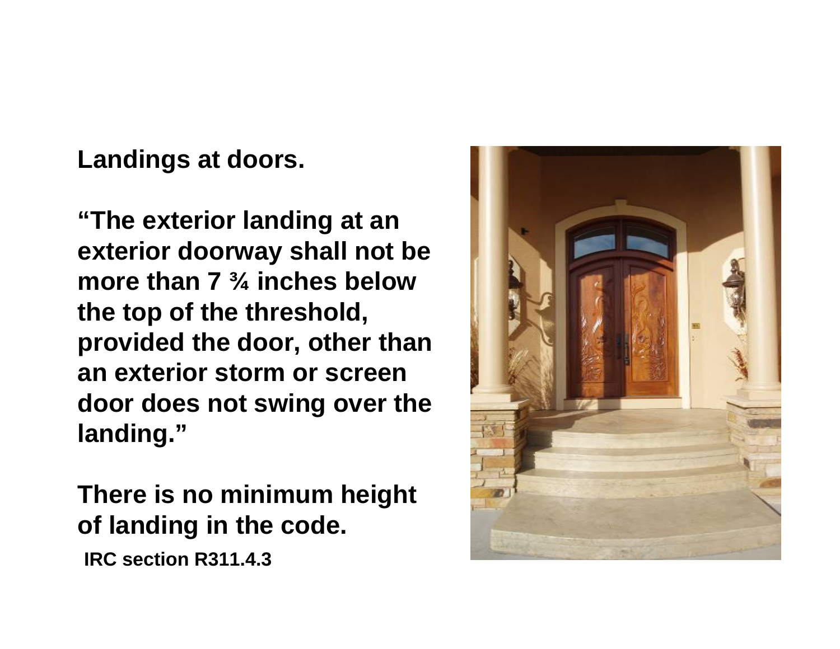**Landings at doors.**

**"The exterior landing at an exterior doorway shall not be more than 7 ¾ inches below the top of the threshold, provided the door, other than an exterior storm or screen door does not swing over the landing."**

**There is no minimum height of landing in the code.**

**IRC section R311.4.3**

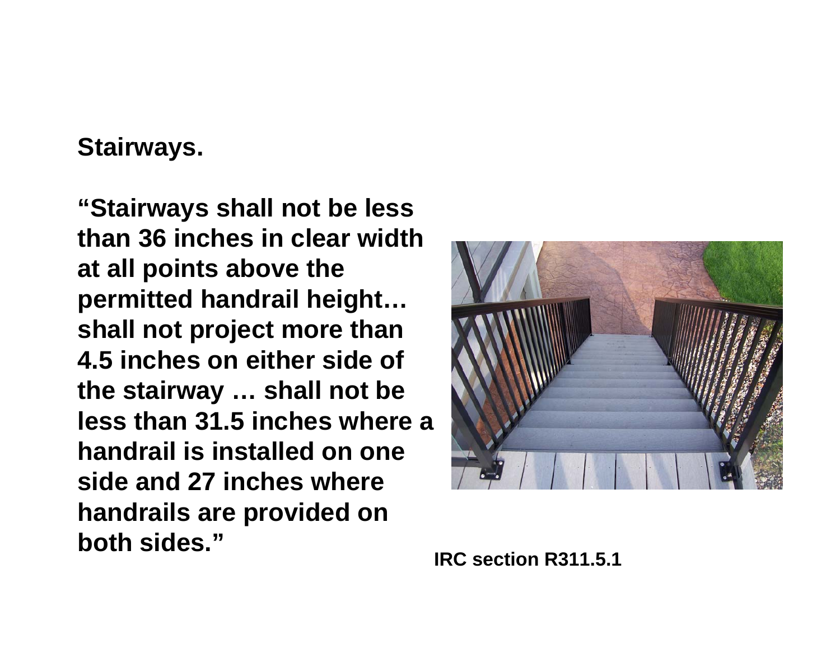## **Stairways.**

**"Stairways shall not be less than 36 inches in clear width at all points above the permitted handrail height… shall not project more than 4.5 inches on either side of the stairway … shall not be less than 31.5 inches where a handrail is installed on one side and 27 inches where handrails are provided on both sides."**



**IRC section R311.5.1**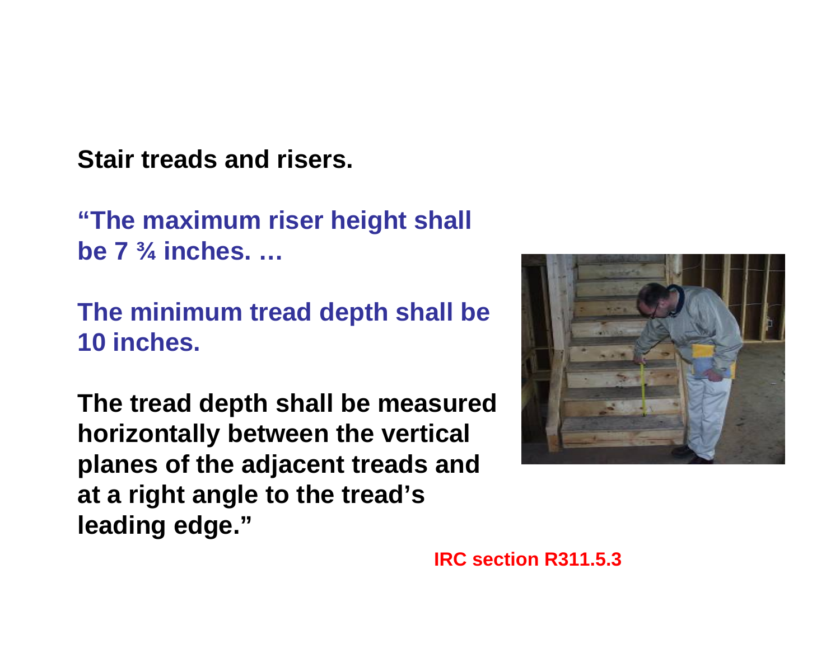**Stair treads and risers.**

**"The maximum riser height shall be 7 ¾ inches. …**

**The minimum tread depth shall be 10 inches.** 

**The tread depth shall be measured horizontally between the vertical planes of the adjacent treads and at a right angle to the tread's leading edge."**



**IRC section R311.5.3**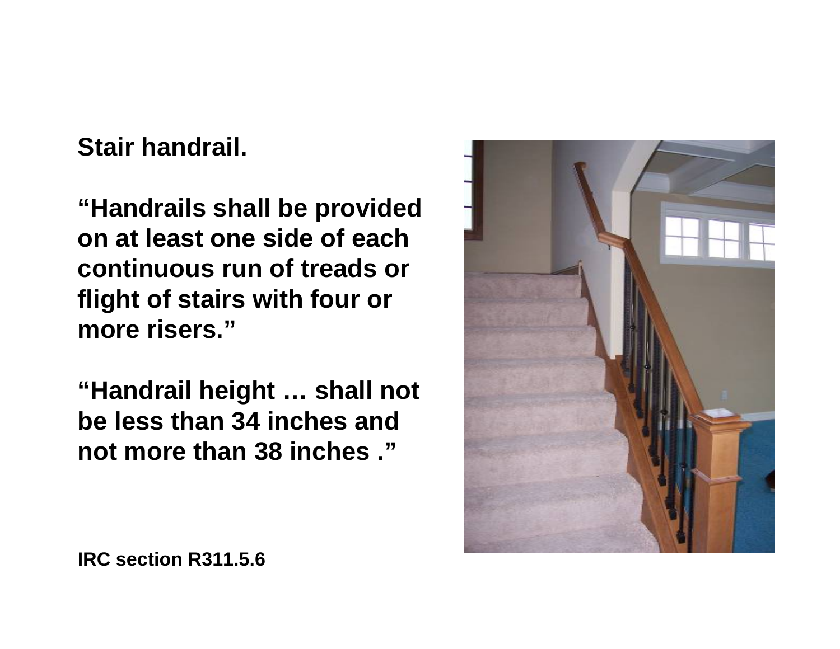**Stair handrail.**

**"Handrails shall be provided on at least one side of each continuous run of treads or flight of stairs with four or more risers."**

**"Handrail height … shall not be less than 34 inches and not more than 38 inches ."**

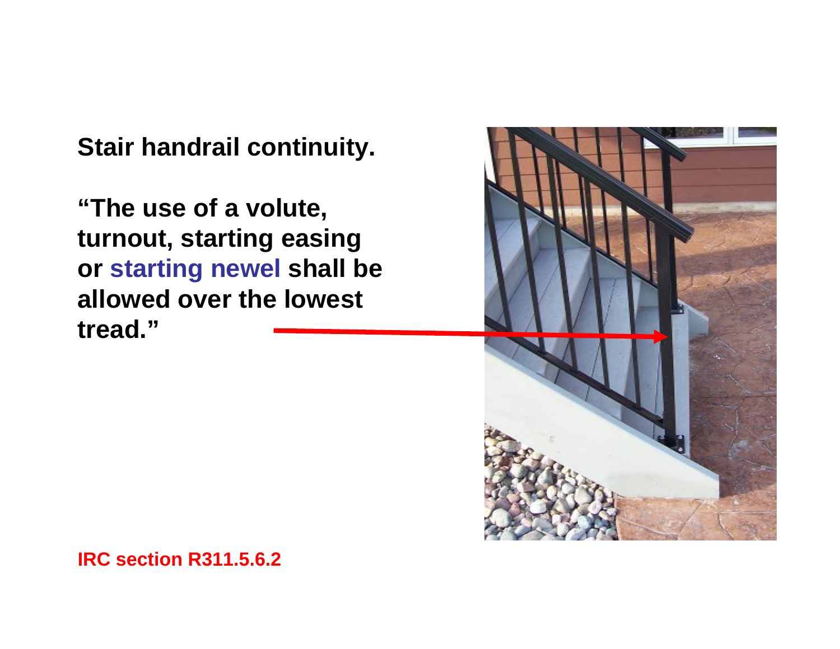**Stair handrail continuity.**

**"The use of a volute, turnout, starting easing or starting newel shall be allowed over the lowest tread."**



**IRC section R311.5.6.2**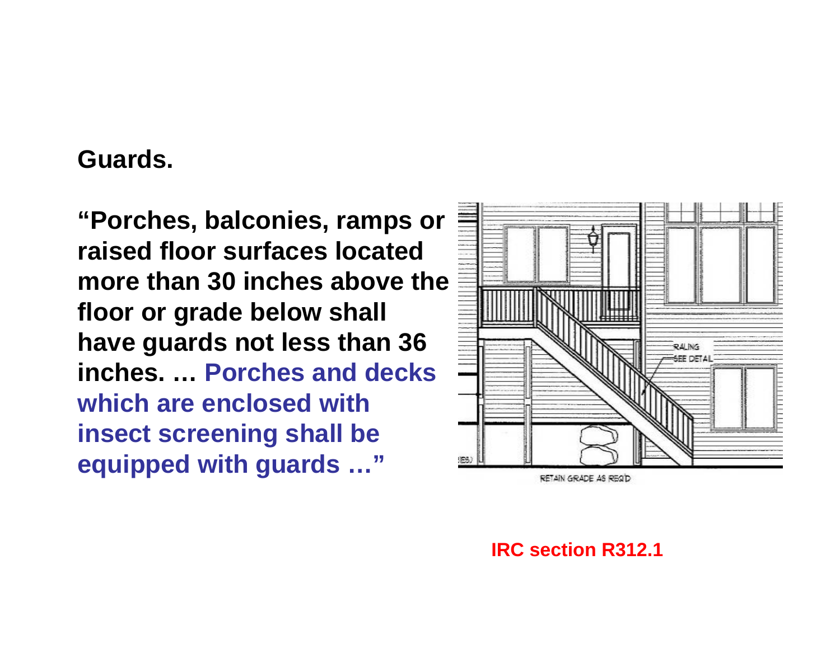### **Guards.**

**"Porches, balconies, ramps or raised floor surfaces located more than 30 inches above the floor or grade below shall have guards not less than 36 inches. … Porches and decks which are enclosed with insect screening shall be equipped with guards …"**



**IRC section R312.1**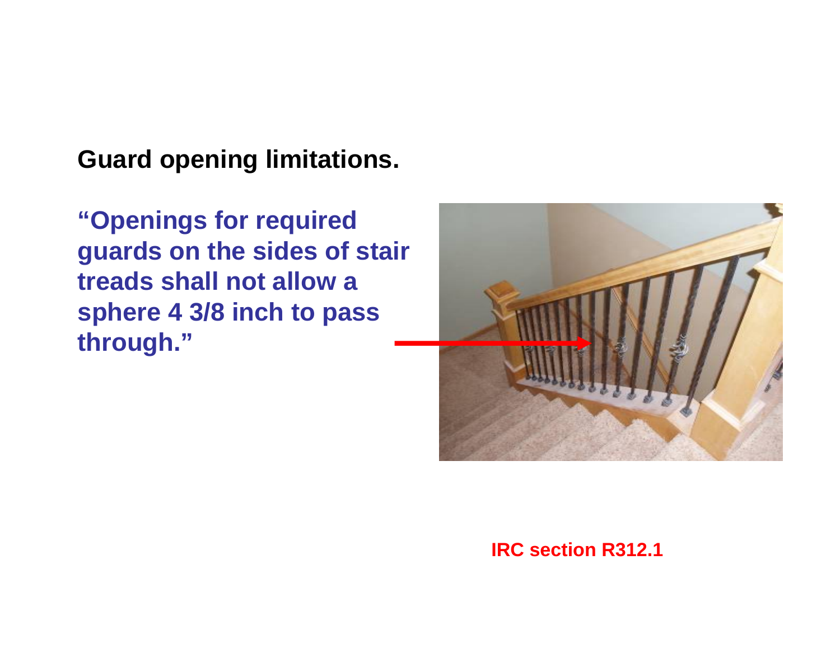**Guard opening limitations.**

**"Openings for required guards on the sides of stair treads shall not allow a sphere 4 3/8 inch to pass through."**



#### **IRC section R312.1**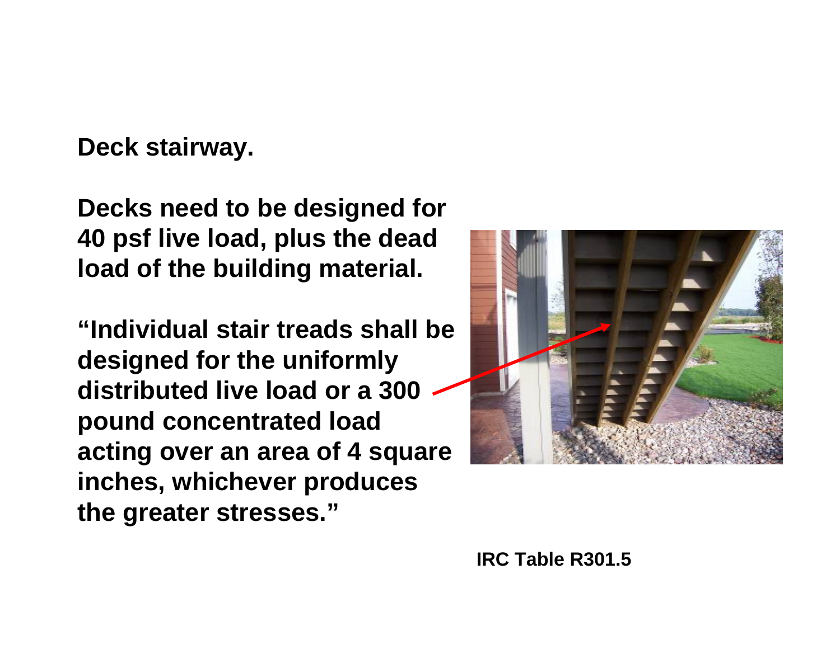**Deck stairway.**

**Decks need to be designed for 40 psf live load, plus the dead load of the building material.**

**"Individual stair treads shall be designed for the uniformly distributed live load or a 300 pound concentrated load acting over an area of 4 square inches, whichever produces the greater stresses."**

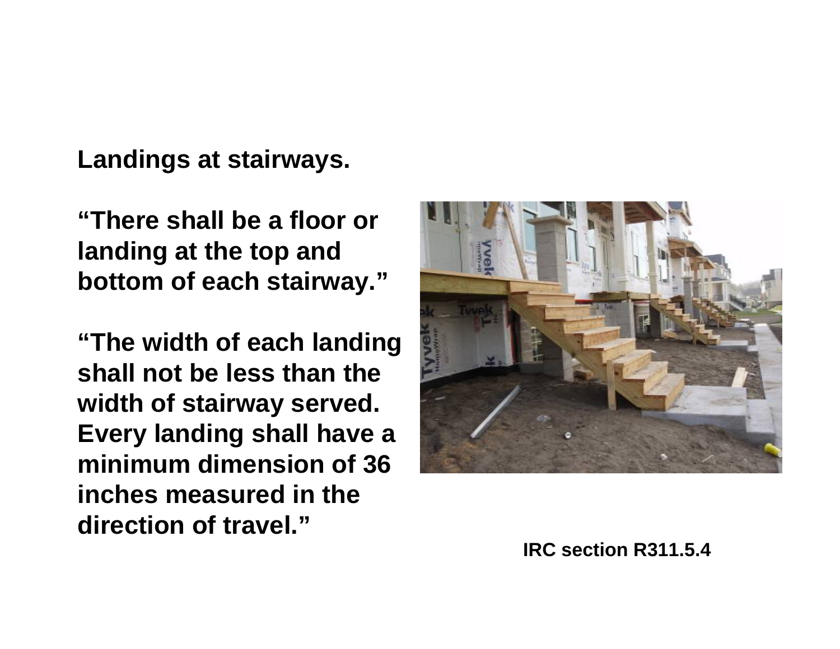**Landings at stairways.**

**"There shall be a floor or landing at the top and bottom of each stairway."**

**"The width of each landing shall not be less than the width of stairway served. Every landing shall have a minimum dimension of 36 inches measured in the direction of travel."**



**IRC section R311.5.4**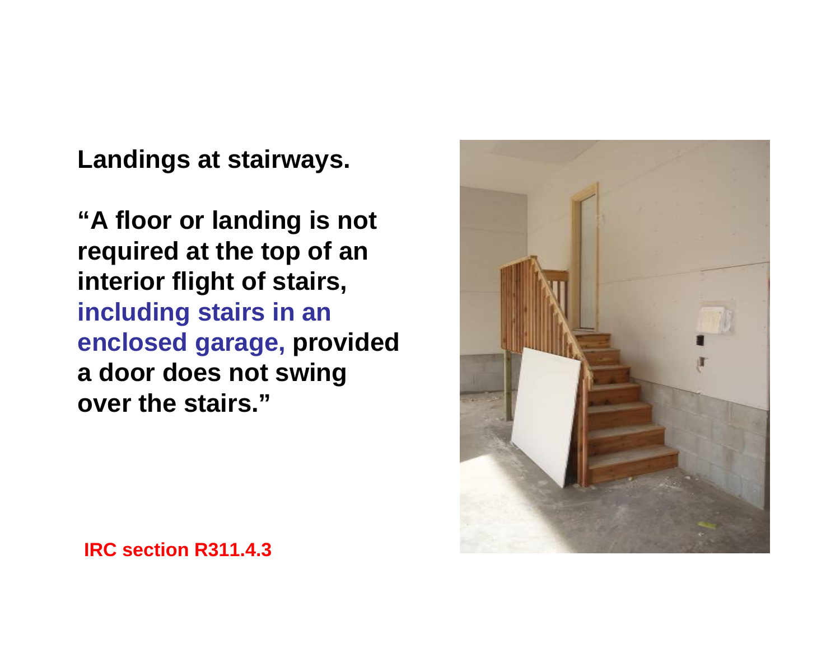**Landings at stairways.**

**"A floor or landing is not required at the top of an interior flight of stairs, including stairs in an enclosed garage, provided a door does not swing over the stairs."**



**IRC section R311.4.3**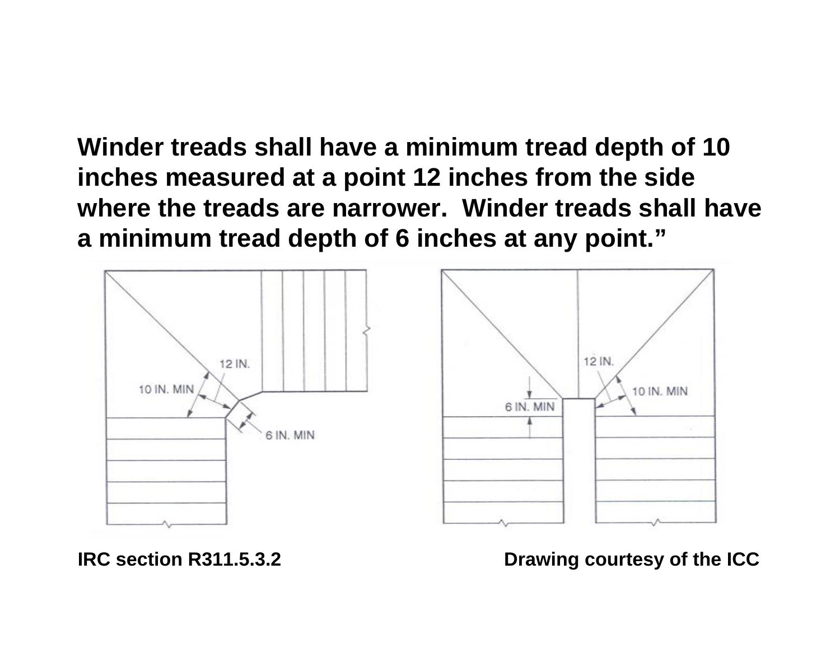**Winder treads shall have a minimum tread depth of 10 inches measured at a point 12 inches from the side where the treads are narrower. Winder treads shall have a minimum tread depth of 6 inches at any point."**



**IRC section R311.5.3.2**

**Drawing courtesy of the ICC**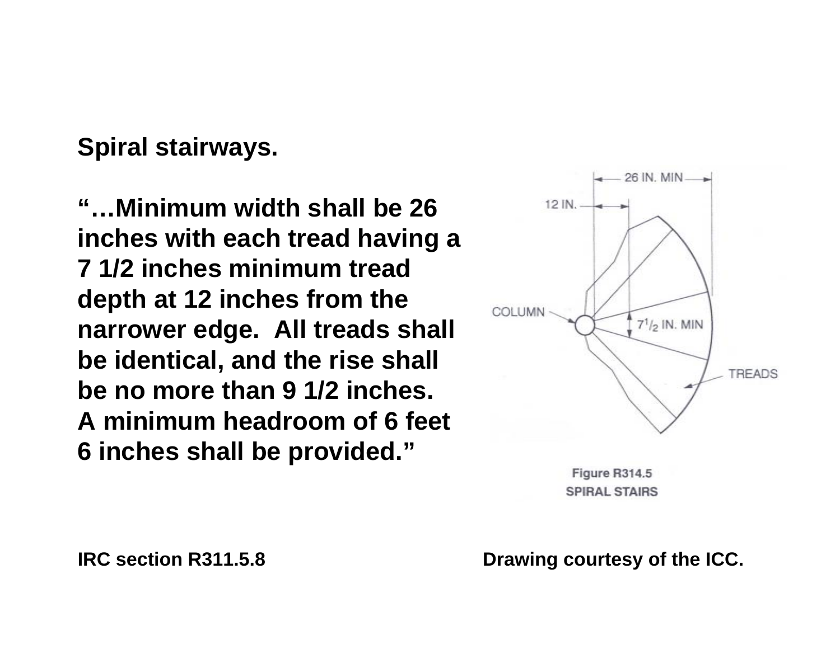**Spiral stairways.**

**"…Minimum width shall be 26 inches with each tread having a 7 1/2 inches minimum tread depth at 12 inches from the narrower edge. All treads shall be identical, and the rise shall be no more than 9 1/2 inches. A minimum headroom of 6 feet 6 inches shall be provided."**



Figure R314.5 SPIRAL STAIRS

**Drawing courtesy of the ICC.**